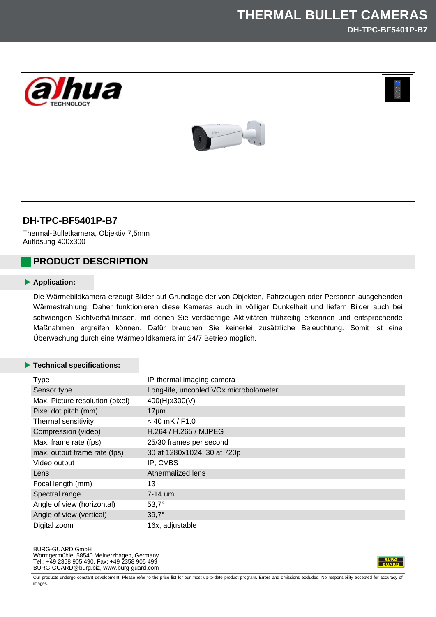



# **DH-TPC-BF5401P-B7**

Thermal-Bulletkamera, Objektiv 7,5mm Auflösung 400x300

# **PRODUCT DESCRIPTION**

#### **Application:**

Die Wärmebildkamera erzeugt Bilder auf Grundlage der von Objekten, Fahrzeugen oder Personen ausgehenden Wärmestrahlung. Daher funktionieren diese Kameras auch in völliger Dunkelheit und liefern Bilder auch bei schwierigen Sichtverhältnissen, mit denen Sie verdächtige Aktivitäten frühzeitig erkennen und entsprechende Maßnahmen ergreifen können. Dafür brauchen Sie keinerlei zusätzliche Beleuchtung. Somit ist eine Überwachung durch eine Wärmebildkamera im 24/7 Betrieb möglich.

### **Technical specifications:**

| <b>Type</b>                     | IP-thermal imaging camera              |
|---------------------------------|----------------------------------------|
| Sensor type                     | Long-life, uncooled VOx microbolometer |
| Max. Picture resolution (pixel) | 400(H)x300(V)                          |
| Pixel dot pitch (mm)            | $17 \mu m$                             |
| Thermal sensitivity             | $<$ 40 mK / F1.0                       |
| Compression (video)             | H.264 / H.265 / MJPEG                  |
| Max. frame rate (fps)           | 25/30 frames per second                |
| max. output frame rate (fps)    | 30 at 1280x1024, 30 at 720p            |
| Video output                    | IP, CVBS                               |
| Lens                            | Athermalized lens                      |
| Focal length (mm)               | 13                                     |
| Spectral range                  | $7-14$ um                              |
| Angle of view (horizontal)      | $53,7^\circ$                           |
| Angle of view (vertical)        | $39,7^\circ$                           |
| Digital zoom                    | 16x, adjustable                        |



Our products undergo constant development. Please refer to the price list for our most up-to-date product program. Errors and omissions excluded. No responsibility accepted for accuracy of images.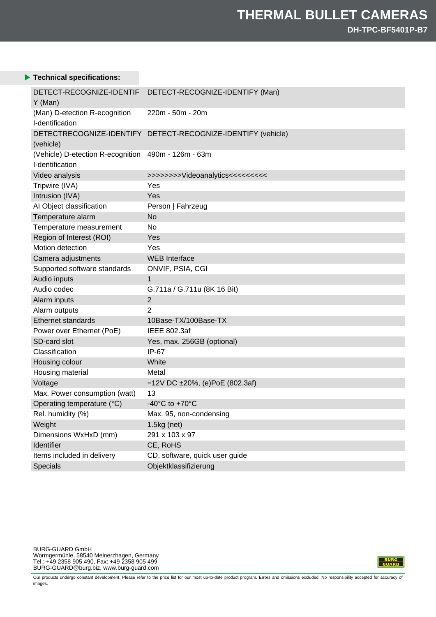### **Technical specifications:**

| DETECT-RECOGNIZE-IDENTIF<br>Y (Man)                                    | DETECT-RECOGNIZE-IDENTIFY (Man)                              |
|------------------------------------------------------------------------|--------------------------------------------------------------|
| (Man) D-etection R-ecognition<br>I-dentification                       | 220m - 50m - 20m                                             |
| (vehicle)                                                              | DETECTRECOGNIZE-IDENTIFY DETECT-RECOGNIZE-IDENTIFY (vehicle) |
| (Vehicle) D-etection R-ecognition 490m - 126m - 63m<br>I-dentification |                                                              |
| Video analysis                                                         | >>>>>>>>Videoanalytics<<<<<<<                                |
| Tripwire (IVA)                                                         | Yes                                                          |
| Intrusion (IVA)                                                        | Yes                                                          |
| AI Object classification                                               | Person   Fahrzeug                                            |
| Temperature alarm                                                      | No                                                           |
| Temperature measurement                                                | No                                                           |
| Region of Interest (ROI)                                               | Yes                                                          |
| Motion detection                                                       | Yes                                                          |
| Camera adjustments                                                     | <b>WEB</b> Interface                                         |
| Supported software standards                                           | ONVIF, PSIA, CGI                                             |
| Audio inputs                                                           | 1                                                            |
| Audio codec                                                            | G.711a / G.711u (8K 16 Bit)                                  |
| Alarm inputs                                                           | $\overline{2}$                                               |
| Alarm outputs                                                          | 2                                                            |
| <b>Ethernet standards</b>                                              | 10Base-TX/100Base-TX                                         |
| Power over Ethernet (PoE)                                              | <b>IEEE 802.3af</b>                                          |
| SD-card slot                                                           | Yes, max. 256GB (optional)                                   |
| Classification                                                         | $IP-67$                                                      |
| Housing colour                                                         | White                                                        |
| Housing material                                                       | Metal                                                        |
| Voltage                                                                | =12V DC $\pm 20\%$ , (e)PoE (802.3af)                        |
| Max. Power consumption (watt)                                          | 13                                                           |
| Operating temperature (°C)                                             | $-40^{\circ}$ C to $+70^{\circ}$ C                           |
| Rel. humidity (%)                                                      | Max. 95, non-condensing                                      |
| Weight                                                                 | $1.5kg$ (net)                                                |
| Dimensions WxHxD (mm)                                                  | 291 x 103 x 97                                               |
| Identifier                                                             | CE, RoHS                                                     |
| Items included in delivery                                             | CD, software, quick user guide                               |
| Specials                                                               | Objektklassifizierung                                        |



Our products undergo constant development. Please refer to the price list for our most up-to-date product program. Errors and omissions excluded. No responsibility accepted for accuracy of images.